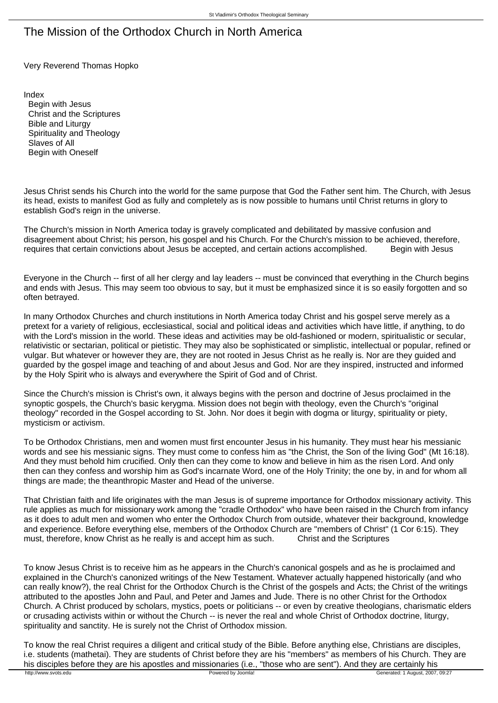## The Mission of the Orthodox Church in North America

Very Reverend Thomas Hopko

Index Begin with Jesus Christ and the Scriptures Bible and Liturgy Spirituality and Theology Slaves of All Begin with Oneself

Jesus Christ sends his Church into the world for the same purpose that God the Father sent him. The Church, with Jesus its head, exists to manifest God as fully and completely as is now possible to humans until Christ returns in glory to establish God's reign in the universe.

The Church's mission in North America today is gravely complicated and debilitated by massive confusion and disagreement about Christ; his person, his gospel and his Church. For the Church's mission to be achieved, therefore, requires that certain convictions about Jesus be accepted, and certain actions accomplished. Begin with Jesus

Everyone in the Church -- first of all her clergy and lay leaders -- must be convinced that everything in the Church begins and ends with Jesus. This may seem too obvious to say, but it must be emphasized since it is so easily forgotten and so often betrayed.

In many Orthodox Churches and church institutions in North America today Christ and his gospel serve merely as a pretext for a variety of religious, ecclesiastical, social and political ideas and activities which have little, if anything, to do with the Lord's mission in the world. These ideas and activities may be old-fashioned or modern, spiritualistic or secular, relativistic or sectarian, political or pietistic. They may also be sophisticated or simplistic, intellectual or popular, refined or vulgar. But whatever or however they are, they are not rooted in Jesus Christ as he really is. Nor are they guided and guarded by the gospel image and teaching of and about Jesus and God. Nor are they inspired, instructed and informed by the Holy Spirit who is always and everywhere the Spirit of God and of Christ.

Since the Church's mission is Christ's own, it always begins with the person and doctrine of Jesus proclaimed in the synoptic gospels, the Church's basic kerygma. Mission does not begin with theology, even the Church's "original theology" recorded in the Gospel according to St. John. Nor does it begin with dogma or liturgy, spirituality or piety, mysticism or activism.

To be Orthodox Christians, men and women must first encounter Jesus in his humanity. They must hear his messianic words and see his messianic signs. They must come to confess him as "the Christ, the Son of the living God" (Mt 16:18). And they must behold him crucified. Only then can they come to know and believe in him as the risen Lord. And only then can they confess and worship him as God's incarnate Word, one of the Holy Trinity; the one by, in and for whom all things are made; the theanthropic Master and Head of the universe.

That Christian faith and life originates with the man Jesus is of supreme importance for Orthodox missionary activity. This rule applies as much for missionary work among the "cradle Orthodox" who have been raised in the Church from infancy as it does to adult men and women who enter the Orthodox Church from outside, whatever their background, knowledge and experience. Before everything else, members of the Orthodox Church are "members of Christ" (1 Cor 6:15). They must, therefore, know Christ as he really is and accept him as such. Christ and the Scriptures

To know Jesus Christ is to receive him as he appears in the Church's canonical gospels and as he is proclaimed and explained in the Church's canonized writings of the New Testament. Whatever actually happened historically (and who can really know?), the real Christ for the Orthodox Church is the Christ of the gospels and Acts; the Christ of the writings attributed to the apostles John and Paul, and Peter and James and Jude. There is no other Christ for the Orthodox Church. A Christ produced by scholars, mystics, poets or politicians -- or even by creative theologians, charismatic elders or crusading activists within or without the Church -- is never the real and whole Christ of Orthodox doctrine, liturgy, spirituality and sanctity. He is surely not the Christ of Orthodox mission.

To know the real Christ requires a diligent and critical study of the Bible. Before anything else, Christians are disciples, i.e. students (mathetai). They are students of Christ before they are his "members" as members of his Church. They are his disciples before they are his apostles and missionaries (i.e., "those who are sent"). And they are certainly his<br>
Howered by Joomla! Powered by Joomla!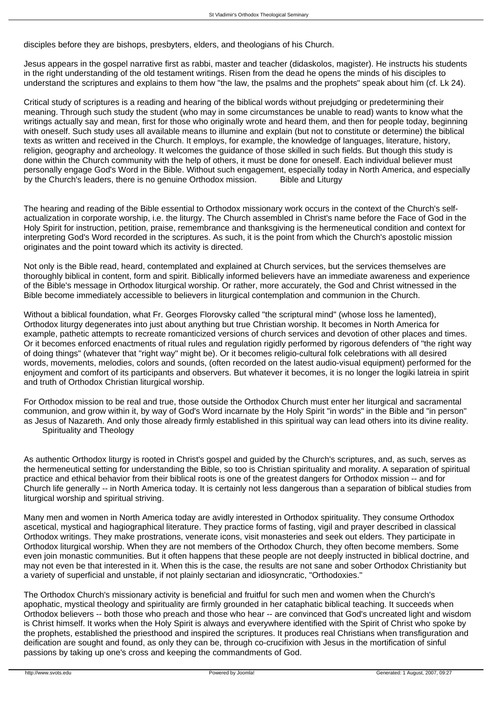disciples before they are bishops, presbyters, elders, and theologians of his Church.

Jesus appears in the gospel narrative first as rabbi, master and teacher (didaskolos, magister). He instructs his students in the right understanding of the old testament writings. Risen from the dead he opens the minds of his disciples to understand the scriptures and explains to them how "the law, the psalms and the prophets" speak about him (cf. Lk 24).

Critical study of scriptures is a reading and hearing of the biblical words without prejudging or predetermining their meaning. Through such study the student (who may in some circumstances be unable to read) wants to know what the writings actually say and mean, first for those who originally wrote and heard them, and then for people today, beginning with oneself. Such study uses all available means to illumine and explain (but not to constitute or determine) the biblical texts as written and received in the Church. It employs, for example, the knowledge of languages, literature, history, religion, geography and archeology. It welcomes the guidance of those skilled in such fields. But though this study is done within the Church community with the help of others, it must be done for oneself. Each individual believer must personally engage God's Word in the Bible. Without such engagement, especially today in North America, and especially by the Church's leaders, there is no genuine Orthodox mission. Bible and Liturgy

The hearing and reading of the Bible essential to Orthodox missionary work occurs in the context of the Church's selfactualization in corporate worship, i.e. the liturgy. The Church assembled in Christ's name before the Face of God in the Holy Spirit for instruction, petition, praise, remembrance and thanksgiving is the hermeneutical condition and context for interpreting God's Word recorded in the scriptures. As such, it is the point from which the Church's apostolic mission originates and the point toward which its activity is directed.

Not only is the Bible read, heard, contemplated and explained at Church services, but the services themselves are thoroughly biblical in content, form and spirit. Biblically informed believers have an immediate awareness and experience of the Bible's message in Orthodox liturgical worship. Or rather, more accurately, the God and Christ witnessed in the Bible become immediately accessible to believers in liturgical contemplation and communion in the Church.

Without a biblical foundation, what Fr. Georges Florovsky called "the scriptural mind" (whose loss he lamented), Orthodox liturgy degenerates into just about anything but true Christian worship. It becomes in North America for example, pathetic attempts to recreate romanticized versions of church services and devotion of other places and times. Or it becomes enforced enactments of ritual rules and regulation rigidly performed by rigorous defenders of "the right way of doing things" (whatever that "right way" might be). Or it becomes religio-cultural folk celebrations with all desired words, movements, melodies, colors and sounds, (often recorded on the latest audio-visual equipment) performed for the enjoyment and comfort of its participants and observers. But whatever it becomes, it is no longer the logiki latreia in spirit and truth of Orthodox Christian liturgical worship.

For Orthodox mission to be real and true, those outside the Orthodox Church must enter her liturgical and sacramental communion, and grow within it, by way of God's Word incarnate by the Holy Spirit "in words" in the Bible and "in person" as Jesus of Nazareth. And only those already firmly established in this spiritual way can lead others into its divine reality. Spirituality and Theology

As authentic Orthodox liturgy is rooted in Christ's gospel and guided by the Church's scriptures, and, as such, serves as the hermeneutical setting for understanding the Bible, so too is Christian spirituality and morality. A separation of spiritual practice and ethical behavior from their biblical roots is one of the greatest dangers for Orthodox mission -- and for Church life generally -- in North America today. It is certainly not less dangerous than a separation of biblical studies from liturgical worship and spiritual striving.

Many men and women in North America today are avidly interested in Orthodox spirituality. They consume Orthodox ascetical, mystical and hagiographical literature. They practice forms of fasting, vigil and prayer described in classical Orthodox writings. They make prostrations, venerate icons, visit monasteries and seek out elders. They participate in Orthodox liturgical worship. When they are not members of the Orthodox Church, they often become members. Some even join monastic communities. But it often happens that these people are not deeply instructed in biblical doctrine, and may not even be that interested in it. When this is the case, the results are not sane and sober Orthodox Christianity but a variety of superficial and unstable, if not plainly sectarian and idiosyncratic, "Orthodoxies."

The Orthodox Church's missionary activity is beneficial and fruitful for such men and women when the Church's apophatic, mystical theology and spirituality are firmly grounded in her cataphatic biblical teaching. It succeeds when Orthodox believers -- both those who preach and those who hear -- are convinced that God's uncreated light and wisdom is Christ himself. It works when the Holy Spirit is always and everywhere identified with the Spirit of Christ who spoke by the prophets, established the priesthood and inspired the scriptures. It produces real Christians when transfiguration and deification are sought and found, as only they can be, through co-crucifixion with Jesus in the mortification of sinful passions by taking up one's cross and keeping the commandments of God.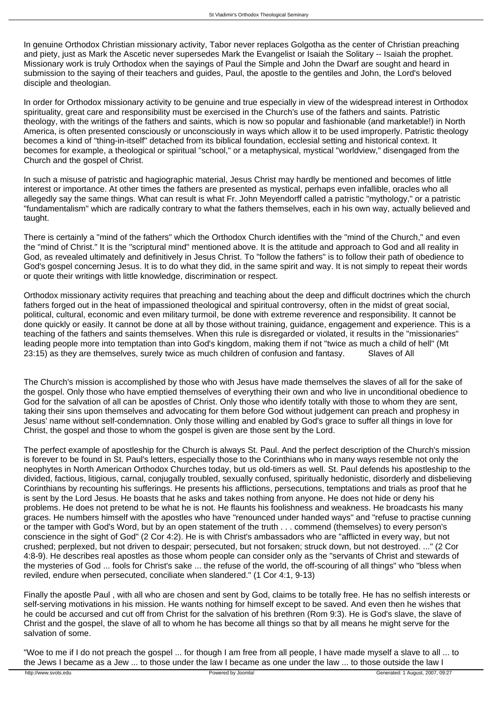In genuine Orthodox Christian missionary activity, Tabor never replaces Golgotha as the center of Christian preaching and piety, just as Mark the Ascetic never supersedes Mark the Evangelist or Isaiah the Solitary -- Isaiah the prophet. Missionary work is truly Orthodox when the sayings of Paul the Simple and John the Dwarf are sought and heard in submission to the saying of their teachers and guides, Paul, the apostle to the gentiles and John, the Lord's beloved disciple and theologian.

In order for Orthodox missionary activity to be genuine and true especially in view of the widespread interest in Orthodox spirituality, great care and responsibility must be exercised in the Church's use of the fathers and saints. Patristic theology, with the writings of the fathers and saints, which is now so popular and fashionable (and marketable!) in North America, is often presented consciously or unconsciously in ways which allow it to be used improperly. Patristic theology becomes a kind of "thing-in-itself" detached from its biblical foundation, ecclesial setting and historical context. It becomes for example, a theological or spiritual "school," or a metaphysical, mystical "worldview," disengaged from the Church and the gospel of Christ.

In such a misuse of patristic and hagiographic material, Jesus Christ may hardly be mentioned and becomes of little interest or importance. At other times the fathers are presented as mystical, perhaps even infallible, oracles who all allegedly say the same things. What can result is what Fr. John Meyendorff called a patristic "mythology," or a patristic "fundamentalism" which are radically contrary to what the fathers themselves, each in his own way, actually believed and taught.

There is certainly a "mind of the fathers" which the Orthodox Church identifies with the "mind of the Church," and even the "mind of Christ." It is the "scriptural mind" mentioned above. It is the attitude and approach to God and all reality in God, as revealed ultimately and definitively in Jesus Christ. To "follow the fathers" is to follow their path of obedience to God's gospel concerning Jesus. It is to do what they did, in the same spirit and way. It is not simply to repeat their words or quote their writings with little knowledge, discrimination or respect.

Orthodox missionary activity requires that preaching and teaching about the deep and difficult doctrines which the church fathers forged out in the heat of impassioned theological and spiritual controversy, often in the midst of great social, political, cultural, economic and even military turmoil, be done with extreme reverence and responsibility. It cannot be done quickly or easily. It cannot be done at all by those without training, guidance, engagement and experience. This is a teaching of the fathers and saints themselves. When this rule is disregarded or violated, it results in the "missionaries" leading people more into temptation than into God's kingdom, making them if not "twice as much a child of hell" (Mt 23:15) as they are themselves, surely twice as much children of confusion and fantasy. Slaves of All

The Church's mission is accomplished by those who with Jesus have made themselves the slaves of all for the sake of the gospel. Only those who have emptied themselves of everything their own and who live in unconditional obedience to God for the salvation of all can be apostles of Christ. Only those who identify totally with those to whom they are sent, taking their sins upon themselves and advocating for them before God without judgement can preach and prophesy in Jesus' name without self-condemnation. Only those willing and enabled by God's grace to suffer all things in love for Christ, the gospel and those to whom the gospel is given are those sent by the Lord.

The perfect example of apostleship for the Church is always St. Paul. And the perfect description of the Church's mission is forever to be found in St. Paul's letters, especially those to the Corinthians who in many ways resemble not only the neophytes in North American Orthodox Churches today, but us old-timers as well. St. Paul defends his apostleship to the divided, factious, litigious, carnal, conjugally troubled, sexually confused, spiritually hedonistic, disorderly and disbelieving Corinthians by recounting his sufferings. He presents his afflictions, persecutions, temptations and trials as proof that he is sent by the Lord Jesus. He boasts that he asks and takes nothing from anyone. He does not hide or deny his problems. He does not pretend to be what he is not. He flaunts his foolishness and weakness. He broadcasts his many graces. He numbers himself with the apostles who have "renounced under handed ways" and "refuse to practise cunning or the tamper with God's Word, but by an open statement of the truth . . . commend (themselves) to every person's conscience in the sight of God" (2 Cor 4:2). He is with Christ's ambassadors who are "afflicted in every way, but not crushed; perplexed, but not driven to despair; persecuted, but not forsaken; struck down, but not destroyed. ..." (2 Cor 4:8-9). He describes real apostles as those whom people can consider only as the "servants of Christ and stewards of the mysteries of God ... fools for Christ's sake ... the refuse of the world, the off-scouring of all things" who "bless when reviled, endure when persecuted, conciliate when slandered." (1 Cor 4:1, 9-13)

Finally the apostle Paul , with all who are chosen and sent by God, claims to be totally free. He has no selfish interests or self-serving motivations in his mission. He wants nothing for himself except to be saved. And even then he wishes that he could be accursed and cut off from Christ for the salvation of his brethren (Rom 9:3). He is God's slave, the slave of Christ and the gospel, the slave of all to whom he has become all things so that by all means he might serve for the salvation of some.

"Woe to me if I do not preach the gospel ... for though I am free from all people, I have made myself a slave to all ... to the Jews I became as a Jew ... to those under the law I became as one under the law ... to those outside the law I